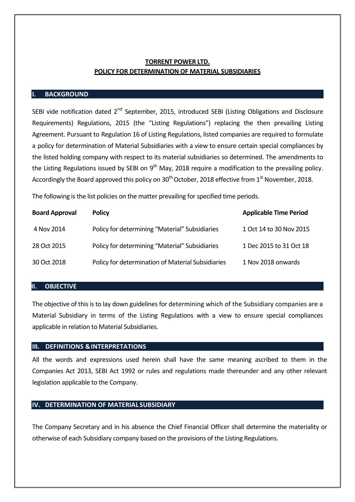# **TORRENT POWER LTD. POLICY FOR DETERMINATION OF MATERIAL SUBSIDIARIES**

### **I. BACKGROUND**

SEBI vide notification dated 2<sup>nd</sup> September, 2015, introduced SEBI (Listing Obligations and Disclosure Requirements) Regulations, 2015 (the "Listing Regulations") replacing the then prevailing Listing Agreement. Pursuant to Regulation 16 of Listing Regulations, listed companies are required to formulate a policy for determination of Material Subsidiaries with a view to ensure certain special compliances by the listed holding company with respect to its material subsidiaries so determined. The amendments to the Listing Regulations issued by SEBI on  $9<sup>th</sup>$  May, 2018 require a modification to the prevailing policy. Accordingly the Board approved this policy on  $30<sup>th</sup>$  October, 2018 effective from 1<sup>st</sup> November, 2018.

The following is the list policies on the matter prevailing for specified time periods.

| <b>Board Approval</b> | <b>Policy</b>                                     | <b>Applicable Time Period</b> |
|-----------------------|---------------------------------------------------|-------------------------------|
| 4 Nov 2014            | Policy for determining "Material" Subsidiaries    | 1 Oct 14 to 30 Nov 2015       |
| 28 Oct 2015           | Policy for determining "Material" Subsidiaries    | 1 Dec 2015 to 31 Oct 18       |
| 30 Oct 2018           | Policy for determination of Material Subsidiaries | 1 Nov 2018 onwards            |

# **II. OBJECTIVE**

The objective of this is to lay down guidelines for determining which of the Subsidiary companies are a Material Subsidiary in terms of the Listing Regulations with a view to ensure special compliances applicable in relation to Material Subsidiaries.

## **III. DEFINITIONS &INTERPRETATIONS**

All the words and expressions used herein shall have the same meaning ascribed to them in the Companies Act 2013, SEBI Act 1992 or rules and regulations made thereunder and any other relevant legislation applicable to the Company.

### **IV. DETERMINATION OF MATERIAL SUBSIDIARY**

The Company Secretary and in his absence the Chief Financial Officer shall determine the materiality or otherwise of each Subsidiary company based on the provisions of the Listing Regulations.